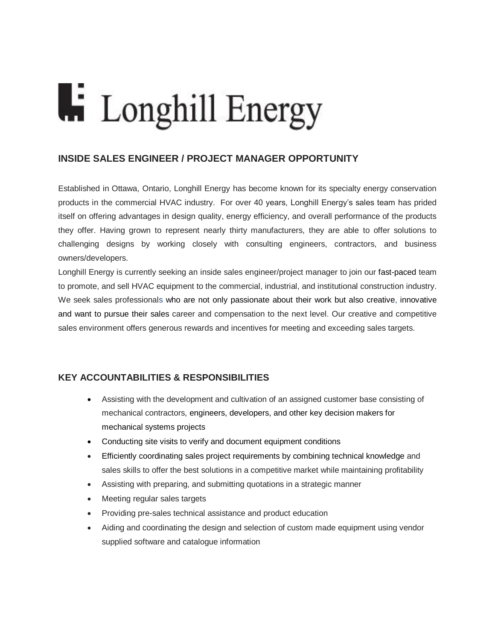## **Li** Longhill Energy

## **INSIDE SALES ENGINEER / PROJECT MANAGER OPPORTUNITY**

Established in Ottawa, Ontario, Longhill Energy has become known for its specialty energy conservation products in the commercial HVAC industry. For over 40 years, Longhill Energy's sales team has prided itself on offering advantages in design quality, energy efficiency, and overall performance of the products they offer. Having grown to represent nearly thirty manufacturers, they are able to offer solutions to challenging designs by working closely with consulting engineers, contractors, and business owners/developers.

Longhill Energy is currently seeking an inside sales engineer/project manager to join our fast-paced team to promote, and sell HVAC equipment to the commercial, industrial, and institutional construction industry. We seek sales professionals who are not only passionate about their work but also creative, innovative and want to pursue their sales career and compensation to the next level. Our creative and competitive sales environment offers generous rewards and incentives for meeting and exceeding sales targets.

## **KEY ACCOUNTABILITIES & RESPONSIBILITIES**

- Assisting with the development and cultivation of an assigned customer base consisting of mechanical contractors, engineers, developers, and other key decision makers for mechanical systems projects
- Conducting site visits to verify and document equipment conditions
- Efficiently coordinating sales project requirements by combining technical knowledge and sales skills to offer the best solutions in a competitive market while maintaining profitability
- Assisting with preparing, and submitting quotations in a strategic manner
- Meeting regular sales targets
- Providing pre-sales technical assistance and product education
- Aiding and coordinating the design and selection of custom made equipment using vendor supplied software and catalogue information